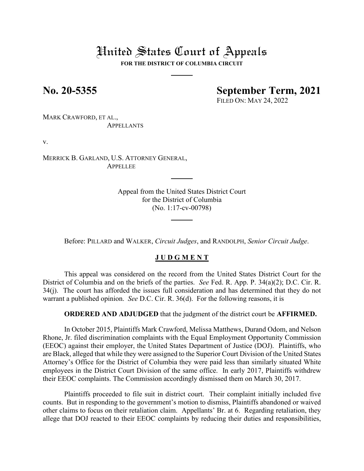# United States Court of Appeals

**FOR THE DISTRICT OF COLUMBIA CIRCUIT**

## **No. 20-5355 September Term, 2021**

FILED ON: MAY 24, 2022

MARK CRAWFORD, ET AL., APPELLANTS

v.

MERRICK B. GARLAND, U.S. ATTORNEY GENERAL, **APPELLEE** 

> Appeal from the United States District Court for the District of Columbia (No. 1:17-cv-00798)

Before: PILLARD and WALKER, *Circuit Judges*, and RANDOLPH, *Senior Circuit Judge*.

### **J U D G M E N T**

This appeal was considered on the record from the United States District Court for the District of Columbia and on the briefs of the parties. *See* Fed. R. App. P. 34(a)(2); D.C. Cir. R. 34(j). The court has afforded the issues full consideration and has determined that they do not warrant a published opinion. *See* D.C. Cir. R. 36(d). For the following reasons, it is

**ORDERED AND ADJUDGED** that the judgment of the district court be **AFFIRMED.**

In October 2015, Plaintiffs Mark Crawford, Melissa Matthews, Durand Odom, and Nelson Rhone, Jr. filed discrimination complaints with the Equal Employment Opportunity Commission (EEOC) against their employer, the United States Department of Justice (DOJ). Plaintiffs, who are Black, alleged that while they were assigned to the Superior Court Division of the United States Attorney's Office for the District of Columbia they were paid less than similarly situated White employees in the District Court Division of the same office. In early 2017, Plaintiffs withdrew their EEOC complaints. The Commission accordingly dismissed them on March 30, 2017.

Plaintiffs proceeded to file suit in district court. Their complaint initially included five counts. But in responding to the government's motion to dismiss, Plaintiffs abandoned or waived other claims to focus on their retaliation claim. Appellants' Br. at 6. Regarding retaliation, they allege that DOJ reacted to their EEOC complaints by reducing their duties and responsibilities,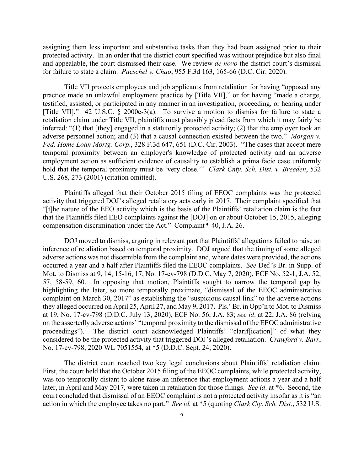assigning them less important and substantive tasks than they had been assigned prior to their protected activity. In an order that the district court specified was without prejudice but also final and appealable, the court dismissed their case. We review *de novo* the district court's dismissal for failure to state a claim. *Pueschel v. Chao*, 955 F.3d 163, 165-66 (D.C. Cir. 2020).

Title VII protects employees and job applicants from retaliation for having "opposed any practice made an unlawful employment practice by [Title VII]," or for having "made a charge, testified, assisted, or participated in any manner in an investigation, proceeding, or hearing under [Title VII]." 42 U.S.C. § 2000e-3(a). To survive a motion to dismiss for failure to state a retaliation claim under Title VII, plaintiffs must plausibly plead facts from which it may fairly be inferred: "(1) that [they] engaged in a statutorily protected activity; (2) that the employer took an adverse personnel action; and (3) that a causal connection existed between the two." *Morgan v. Fed. Home Loan Mortg. Corp*., 328 F.3d 647, 651 (D.C. Cir. 2003). "The cases that accept mere temporal proximity between an employer's knowledge of protected activity and an adverse employment action as sufficient evidence of causality to establish a prima facie case uniformly hold that the temporal proximity must be 'very close.'" *Clark Cnty. Sch. Dist. v. Breeden*, 532 U.S. 268, 273 (2001) (citation omitted).

Plaintiffs alleged that their October 2015 filing of EEOC complaints was the protected activity that triggered DOJ's alleged retaliatory acts early in 2017. Their complaint specified that "[t]he nature of the EEO activity which is the basis of the Plaintiffs' retaliation claim is the fact that the Plaintiffs filed EEO complaints against the [DOJ] on or about October 15, 2015, alleging compensation discrimination under the Act." Complaint ¶ 40, J.A. 26.

DOJ moved to dismiss, arguing in relevant part that Plaintiffs' allegations failed to raise an inference of retaliation based on temporal proximity. DOJ argued that the timing of some alleged adverse actions was not discernible from the complaint and, where dates were provided, the actions occurred a year and a half after Plaintiffs filed the EEOC complaints. *See* Def.'s Br. in Supp. of Mot. to Dismiss at 9, 14, 15-16, 17, No. 17-cv-798 (D.D.C. May 7, 2020), ECF No. 52-1, J.A. 52, 57, 58-59, 60. In opposing that motion, Plaintiffs sought to narrow the temporal gap by highlighting the later, so more temporally proximate, "dismissal of the EEOC administrative complaint on March 30, 2017" as establishing the "suspicious causal link" to the adverse actions they alleged occurred on April 25, April 27, and May 9, 2017. Pls.' Br. in Opp'n to Mot. to Dismiss at 19, No. 17-cv-798 (D.D.C. July 13, 2020), ECF No. 56, J.A. 83; *see id*. at 22, J.A. 86 (relying on the assertedly adverse actions' "temporal proximity to the dismissal of the EEOC administrative proceedings"). The district court acknowledged Plaintiffs' "clarif[ication]" of what they considered to be the protected activity that triggered DOJ's alleged retaliation. *Crawford v. Barr*, No. 17-cv-798, 2020 WL 7051554, at \*5 (D.D.C. Sept. 24, 2020).

The district court reached two key legal conclusions about Plaintiffs' retaliation claim. First, the court held that the October 2015 filing of the EEOC complaints, while protected activity, was too temporally distant to alone raise an inference that employment actions a year and a half later, in April and May 2017, were taken in retaliation for those filings. *See id*. at \*6. Second, the court concluded that dismissal of an EEOC complaint is not a protected activity insofar as it is "an action in which the employee takes no part." *See id.* at \*5 (quoting *Clark Cty. Sch. Dist.*, 532 U.S.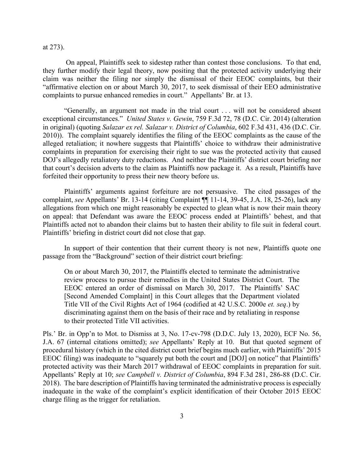at 273).

On appeal, Plaintiffs seek to sidestep rather than contest those conclusions. To that end, they further modify their legal theory, now positing that the protected activity underlying their claim was neither the filing nor simply the dismissal of their EEOC complaints, but their "affirmative election on or about March 30, 2017, to seek dismissal of their EEO administrative complaints to pursue enhanced remedies in court." Appellants' Br. at 13.

"Generally, an argument not made in the trial court . . . will not be considered absent exceptional circumstances." *United States v. Gewin*, 759 F.3d 72, 78 (D.C. Cir. 2014) (alteration in original) (quoting *Salazar ex rel. Salazar v. District of Columbia*, 602 F.3d 431, 436 (D.C. Cir. 2010)). The complaint squarely identifies the filing of the EEOC complaints as the cause of the alleged retaliation; it nowhere suggests that Plaintiffs' choice to withdraw their administrative complaints in preparation for exercising their right to sue was the protected activity that caused DOJ's allegedly retaliatory duty reductions. And neither the Plaintiffs' district court briefing nor that court's decision adverts to the claim as Plaintiffs now package it. As a result, Plaintiffs have forfeited their opportunity to press their new theory before us.

Plaintiffs' arguments against forfeiture are not persuasive. The cited passages of the complaint, *see* Appellants' Br. 13-14 (citing Complaint ¶¶ 11-14, 39-45, J.A. 18, 25-26), lack any allegations from which one might reasonably be expected to glean what is now their main theory on appeal: that Defendant was aware the EEOC process ended at Plaintiffs' behest, and that Plaintiffs acted not to abandon their claims but to hasten their ability to file suit in federal court. Plaintiffs' briefing in district court did not close that gap.

In support of their contention that their current theory is not new, Plaintiffs quote one passage from the "Background" section of their district court briefing:

On or about March 30, 2017, the Plaintiffs elected to terminate the administrative review process to pursue their remedies in the United States District Court. The EEOC entered an order of dismissal on March 30, 2017. The Plaintiffs' SAC [Second Amended Complaint] in this Court alleges that the Department violated Title VII of the Civil Rights Act of 1964 (codified at 42 U.S.C. 2000e *et. seq*.) by discriminating against them on the basis of their race and by retaliating in response to their protected Title VII activities.

Pls.' Br. in Opp'n to Mot. to Dismiss at 3, No. 17-cv-798 (D.D.C. July 13, 2020), ECF No. 56, J.A. 67 (internal citations omitted); *see* Appellants' Reply at 10. But that quoted segment of procedural history (which in the cited district court brief begins much earlier, with Plaintiffs' 2015 EEOC filing) was inadequate to "squarely put both the court and [DOJ] on notice" that Plaintiffs' protected activity was their March 2017 withdrawal of EEOC complaints in preparation for suit. Appellants' Reply at 10; *see Campbell v. District of Columbia*, 894 F.3d 281, 286-88 (D.C. Cir. 2018). The bare description of Plaintiffs having terminated the administrative process is especially inadequate in the wake of the complaint's explicit identification of their October 2015 EEOC charge filing as the trigger for retaliation.